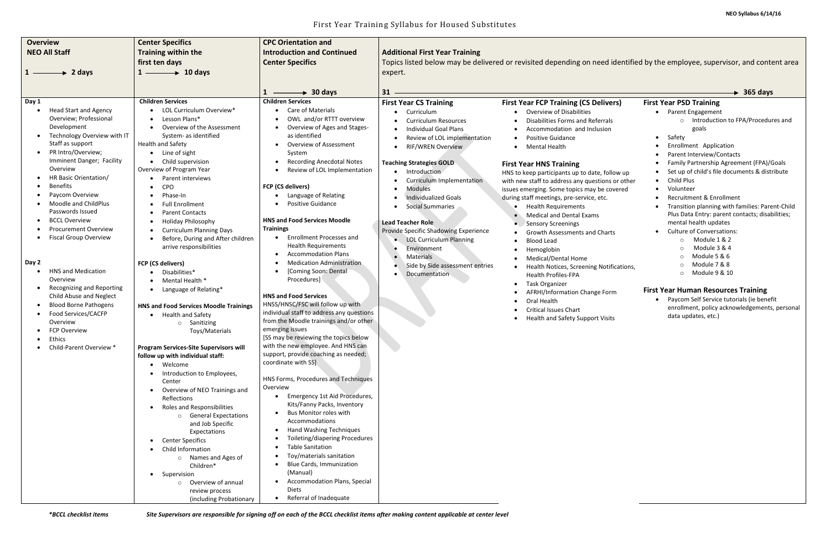| <b>Overview</b>                                                                                                                                                                                                                                                                                                                                                                                                                                                                                                                                                                                                                                                                                                                                                               | <b>Center Specifics</b>                                                                                                                                                                                                                                                                                                                                                                                                                                                                                                                                                                                                                                                                                                                                                                                                                                                                                                                                                                                                                                                                                                                                                | <b>CPC Orientation and</b>                                                                                                                                                                                                                                                                                                                                                                                                                                                                                                                                                                                                                                                                                                                                                                                                                                                                                                                                                                                                                                                                                                                                                                                                                                                                                  |                                                                                                                                                                                                                                                                                                                                                                                                                                                                                                               |                                                                                                                                                                                                                                                                                                                                                                                                                                                                                                                                                                                                                                                                                                                                                                                                                                                           |                                                                                                                                                                                                                                                                                                                                                                                                                                                                                                                                                                                                                                                                                                                                                                                                     |
|-------------------------------------------------------------------------------------------------------------------------------------------------------------------------------------------------------------------------------------------------------------------------------------------------------------------------------------------------------------------------------------------------------------------------------------------------------------------------------------------------------------------------------------------------------------------------------------------------------------------------------------------------------------------------------------------------------------------------------------------------------------------------------|------------------------------------------------------------------------------------------------------------------------------------------------------------------------------------------------------------------------------------------------------------------------------------------------------------------------------------------------------------------------------------------------------------------------------------------------------------------------------------------------------------------------------------------------------------------------------------------------------------------------------------------------------------------------------------------------------------------------------------------------------------------------------------------------------------------------------------------------------------------------------------------------------------------------------------------------------------------------------------------------------------------------------------------------------------------------------------------------------------------------------------------------------------------------|-------------------------------------------------------------------------------------------------------------------------------------------------------------------------------------------------------------------------------------------------------------------------------------------------------------------------------------------------------------------------------------------------------------------------------------------------------------------------------------------------------------------------------------------------------------------------------------------------------------------------------------------------------------------------------------------------------------------------------------------------------------------------------------------------------------------------------------------------------------------------------------------------------------------------------------------------------------------------------------------------------------------------------------------------------------------------------------------------------------------------------------------------------------------------------------------------------------------------------------------------------------------------------------------------------------|---------------------------------------------------------------------------------------------------------------------------------------------------------------------------------------------------------------------------------------------------------------------------------------------------------------------------------------------------------------------------------------------------------------------------------------------------------------------------------------------------------------|-----------------------------------------------------------------------------------------------------------------------------------------------------------------------------------------------------------------------------------------------------------------------------------------------------------------------------------------------------------------------------------------------------------------------------------------------------------------------------------------------------------------------------------------------------------------------------------------------------------------------------------------------------------------------------------------------------------------------------------------------------------------------------------------------------------------------------------------------------------|-----------------------------------------------------------------------------------------------------------------------------------------------------------------------------------------------------------------------------------------------------------------------------------------------------------------------------------------------------------------------------------------------------------------------------------------------------------------------------------------------------------------------------------------------------------------------------------------------------------------------------------------------------------------------------------------------------------------------------------------------------------------------------------------------------|
| <b>NEO All Staff</b>                                                                                                                                                                                                                                                                                                                                                                                                                                                                                                                                                                                                                                                                                                                                                          | <b>Training within the</b>                                                                                                                                                                                                                                                                                                                                                                                                                                                                                                                                                                                                                                                                                                                                                                                                                                                                                                                                                                                                                                                                                                                                             | <b>Introduction and Continued</b>                                                                                                                                                                                                                                                                                                                                                                                                                                                                                                                                                                                                                                                                                                                                                                                                                                                                                                                                                                                                                                                                                                                                                                                                                                                                           | <b>Additional First Year Training</b>                                                                                                                                                                                                                                                                                                                                                                                                                                                                         |                                                                                                                                                                                                                                                                                                                                                                                                                                                                                                                                                                                                                                                                                                                                                                                                                                                           |                                                                                                                                                                                                                                                                                                                                                                                                                                                                                                                                                                                                                                                                                                                                                                                                     |
|                                                                                                                                                                                                                                                                                                                                                                                                                                                                                                                                                                                                                                                                                                                                                                               | first ten days                                                                                                                                                                                                                                                                                                                                                                                                                                                                                                                                                                                                                                                                                                                                                                                                                                                                                                                                                                                                                                                                                                                                                         | <b>Center Specifics</b>                                                                                                                                                                                                                                                                                                                                                                                                                                                                                                                                                                                                                                                                                                                                                                                                                                                                                                                                                                                                                                                                                                                                                                                                                                                                                     |                                                                                                                                                                                                                                                                                                                                                                                                                                                                                                               |                                                                                                                                                                                                                                                                                                                                                                                                                                                                                                                                                                                                                                                                                                                                                                                                                                                           | Topics listed below may be delivered or revisited depending on need identified by the employee, supervisor, and content area                                                                                                                                                                                                                                                                                                                                                                                                                                                                                                                                                                                                                                                                        |
| 2 days<br>→                                                                                                                                                                                                                                                                                                                                                                                                                                                                                                                                                                                                                                                                                                                                                                   | $1 \longrightarrow 10$ days                                                                                                                                                                                                                                                                                                                                                                                                                                                                                                                                                                                                                                                                                                                                                                                                                                                                                                                                                                                                                                                                                                                                            |                                                                                                                                                                                                                                                                                                                                                                                                                                                                                                                                                                                                                                                                                                                                                                                                                                                                                                                                                                                                                                                                                                                                                                                                                                                                                                             | expert.                                                                                                                                                                                                                                                                                                                                                                                                                                                                                                       |                                                                                                                                                                                                                                                                                                                                                                                                                                                                                                                                                                                                                                                                                                                                                                                                                                                           |                                                                                                                                                                                                                                                                                                                                                                                                                                                                                                                                                                                                                                                                                                                                                                                                     |
|                                                                                                                                                                                                                                                                                                                                                                                                                                                                                                                                                                                                                                                                                                                                                                               |                                                                                                                                                                                                                                                                                                                                                                                                                                                                                                                                                                                                                                                                                                                                                                                                                                                                                                                                                                                                                                                                                                                                                                        |                                                                                                                                                                                                                                                                                                                                                                                                                                                                                                                                                                                                                                                                                                                                                                                                                                                                                                                                                                                                                                                                                                                                                                                                                                                                                                             |                                                                                                                                                                                                                                                                                                                                                                                                                                                                                                               |                                                                                                                                                                                                                                                                                                                                                                                                                                                                                                                                                                                                                                                                                                                                                                                                                                                           |                                                                                                                                                                                                                                                                                                                                                                                                                                                                                                                                                                                                                                                                                                                                                                                                     |
|                                                                                                                                                                                                                                                                                                                                                                                                                                                                                                                                                                                                                                                                                                                                                                               |                                                                                                                                                                                                                                                                                                                                                                                                                                                                                                                                                                                                                                                                                                                                                                                                                                                                                                                                                                                                                                                                                                                                                                        | $\rightarrow$ 30 days<br>$1 -$                                                                                                                                                                                                                                                                                                                                                                                                                                                                                                                                                                                                                                                                                                                                                                                                                                                                                                                                                                                                                                                                                                                                                                                                                                                                              | $31 -$                                                                                                                                                                                                                                                                                                                                                                                                                                                                                                        |                                                                                                                                                                                                                                                                                                                                                                                                                                                                                                                                                                                                                                                                                                                                                                                                                                                           | $\rightarrow$ 365 days                                                                                                                                                                                                                                                                                                                                                                                                                                                                                                                                                                                                                                                                                                                                                                              |
| Day 1<br><b>Head Start and Agency</b><br>$\bullet$<br>Overview; Professional<br>Development<br>Technology Overview with IT<br>Staff as support<br>PR Intro/Overview;<br>$\bullet$<br>Imminent Danger; Facility<br>Overview<br>HR Basic Orientation/<br><b>Benefits</b><br>$\bullet$<br>Paycom Overview<br>$\bullet$<br>Moodle and ChildPlus<br>Passwords Issued<br><b>BCCL Overview</b><br><b>Procurement Overview</b><br><b>Fiscal Group Overview</b><br>$\bullet$<br>Day 2<br><b>HNS and Medication</b><br>$\bullet$<br>Overview<br>Recognizing and Reporting<br>$\bullet$<br>Child Abuse and Neglect<br><b>Blood Borne Pathogens</b><br>$\bullet$<br>Food Services/CACFP<br>Overview<br><b>FCP Overview</b><br>Ethics<br>$\bullet$<br>Child-Parent Overview *<br>$\bullet$ | <b>Children Services</b><br>LOL Curriculum Overview*<br>Lesson Plans*<br>$\bullet$<br>Overview of the Assessment<br>System- as identified<br>Health and Safety<br>Line of sight<br>Child supervision<br>Overview of Program Year<br><b>Parent interviews</b><br><b>CPO</b><br>Phase-In<br><b>Full Enrollment</b><br><b>Parent Contacts</b><br><b>Holiday Philosophy</b><br><b>Curriculum Planning Days</b><br>$\bullet$<br>Before, During and After children<br>arrive responsibilities<br><b>FCP (CS delivers)</b><br>Disabilities*<br>Mental Health *<br>Language of Relating*<br><b>HNS and Food Services Moodle Trainings</b><br><b>Health and Safety</b><br>$\bullet$<br>o Sanitizing<br>Toys/Materials<br><b>Program Services-Site Supervisors will</b><br>follow up with individual staff:<br>• Welcome<br>Introduction to Employees,<br>Center<br>Overview of NEO Trainings and<br>$\bullet$<br>Reflections<br>Roles and Responsibilities<br>o General Expectations<br>and Job Specific<br>Expectations<br><b>Center Specifics</b><br>$\bullet$<br>Child Information<br>$\bullet$<br>o Names and Ages of<br>Children*<br>• Supervision<br>o Overview of annual | <b>Children Services</b><br><b>Care of Materials</b><br>OWL and/or RTTT overview<br>Overview of Ages and Stages-<br>as identified<br>Overview of Assessment<br>System<br><b>Recording Anecdotal Notes</b><br>$\bullet$<br>Review of LOL Implementation<br>FCP (CS delivers)<br>Language of Relating<br><b>Positive Guidance</b><br><b>HNS and Food Services Moodle</b><br><b>Trainings</b><br><b>Enrollment Processes and</b><br>$\bullet$<br><b>Health Requirements</b><br><b>Accommodation Plans</b><br>$\bullet$<br><b>Medication Administration</b><br>[Coming Soon: Dental<br>Procedures]<br><b>HNS and Food Services</b><br>HNSS/HNSC/FSC will follow up with<br>individual staff to address any questions<br>from the Moodle trainings and/or other<br>emerging issues<br>[SS may be reviewing the topics below<br>with the new employee. And HNS can<br>support, provide coaching as needed;<br>coordinate with SS]<br>HNS Forms, Procedures and Techniques<br>Overview<br>Emergency 1st Aid Procedures,<br>$\bullet$<br>Kits/Fanny Packs, Inventory<br>Bus Monitor roles with<br>Accommodations<br><b>Hand Washing Techniques</b><br>Toileting/diapering Procedures<br><b>Table Sanitation</b><br>Toy/materials sanitation<br>Blue Cards, Immunization<br>(Manual)<br>Accommodation Plans, Special | <b>First Year CS Training</b><br>Curriculum<br><b>Curriculum Resources</b><br>Individual Goal Plans<br>Review of LOL implementation<br><b>RIF/WREN Overview</b><br><b>Teaching Strategies GOLD</b><br>Introduction<br>Curriculum Implementation<br><b>Modules</b><br><b>Individualized Goals</b><br><b>Social Summaries</b><br><b>Lead Teacher Role</b><br>Provide Specific Shadowing Experience<br>• LOL Curriculum Planning<br>Environment<br>Materials<br>Side by Side assessment entries<br>Documentation | <b>First Year FCP Training (CS Delivers)</b><br>Overview of Disabilities<br>Disabilities Forms and Referrals<br>Accommodation and Inclusion<br><b>Positive Guidance</b><br><b>Mental Health</b><br><b>First Year HNS Training</b><br>HNS to keep participants up to date, follow up<br>with new staff to address any questions or other<br>issues emerging. Some topics may be covered<br>during staff meetings, pre-service, etc.<br><b>Health Requirements</b><br><b>Medical and Dental Exams</b><br><b>Sensory Screenings</b><br><b>Growth Assessments and Charts</b><br><b>Blood Lead</b><br>Hemoglobin<br>Medical/Dental Home<br>Health Notices, Screening Notifications,<br><b>Health Profiles-FPA</b><br><b>Task Organizer</b><br>AFRHI/Information Change Form<br>Oral Health<br><b>Critical Issues Chart</b><br>Health and Safety Support Visits | <b>First Year PSD Training</b><br>• Parent Engagement<br>o Introduction to FPA/Procedures and<br>goals<br>• Safety<br>Enrollment Application<br>Parent Interview/Contacts<br>Family Partnership Agreement (FPA)/Goals<br>Set up of child's file documents & distribute<br>Child Plus<br>$\bullet$<br>Volunteer<br>$\bullet$<br>Recruitment & Enrollment<br>Transition planning with families: Parent-Child<br>Plus Data Entry: parent contacts; disabilities;<br>mental health updates<br>• Culture of Conversations:<br>Module 1 & 2<br>$\Omega$<br>Module 3 & 4<br>Module 5 & 6<br>Module 7 & 8<br>Module 9 & 10<br>$\Omega$<br><b>First Year Human Resources Training</b><br>• Paycom Self Service tutorials (ie benefit<br>enrollment, policy acknowledgements, personal<br>data updates, etc.) |
|                                                                                                                                                                                                                                                                                                                                                                                                                                                                                                                                                                                                                                                                                                                                                                               | review process<br>(including Probationary                                                                                                                                                                                                                                                                                                                                                                                                                                                                                                                                                                                                                                                                                                                                                                                                                                                                                                                                                                                                                                                                                                                              | <b>Diets</b><br>• Referral of Inadequate                                                                                                                                                                                                                                                                                                                                                                                                                                                                                                                                                                                                                                                                                                                                                                                                                                                                                                                                                                                                                                                                                                                                                                                                                                                                    |                                                                                                                                                                                                                                                                                                                                                                                                                                                                                                               |                                                                                                                                                                                                                                                                                                                                                                                                                                                                                                                                                                                                                                                                                                                                                                                                                                                           |                                                                                                                                                                                                                                                                                                                                                                                                                                                                                                                                                                                                                                                                                                                                                                                                     |